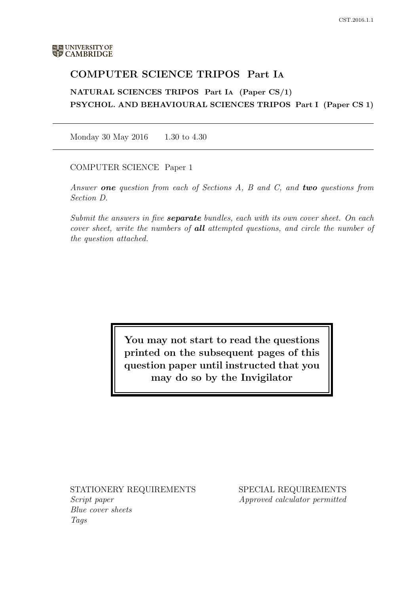# COMPUTER SCIENCE TRIPOS Part IA

NATURAL SCIENCES TRIPOS Part IA (Paper CS/1) PSYCHOL. AND BEHAVIOURAL SCIENCES TRIPOS Part I (Paper CS 1)

Monday 30 May 2016 1.30 to 4.30

COMPUTER SCIENCE Paper 1

Answer **one** question from each of Sections A, B and C, and **two** questions from Section D.

Submit the answers in five **separate** bundles, each with its own cover sheet. On each cover sheet, write the numbers of **all** attempted questions, and circle the number of the question attached.

> You may not start to read the questions printed on the subsequent pages of this question paper until instructed that you may do so by the Invigilator

STATIONERY REQUIREMENTS Script paper

Blue cover sheets Tags

SPECIAL REQUIREMENTS Approved calculator permitted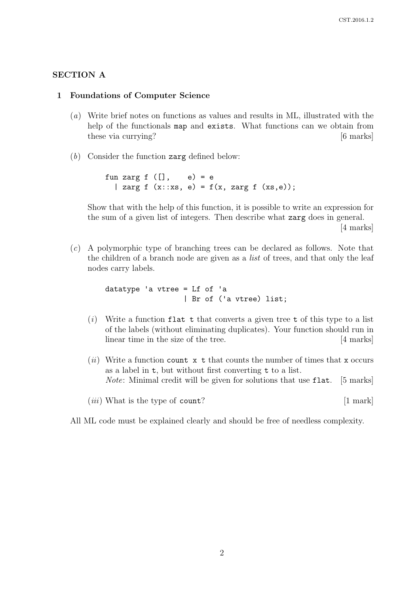# SECTION A

#### 1 Foundations of Computer Science

- (a) Write brief notes on functions as values and results in ML, illustrated with the help of the functionals map and exists. What functions can we obtain from these via currying? [6 marks]
- $(b)$  Consider the function zarg defined below:

fun zarg  $f([], e) = e$ | zarg f  $(x::xs, e) = f(x, zarg f (xs, e));$ 

Show that with the help of this function, it is possible to write an expression for the sum of a given list of integers. Then describe what zarg does in general.

[4 marks]

(c) A polymorphic type of branching trees can be declared as follows. Note that the children of a branch node are given as a *list* of trees, and that only the leaf nodes carry labels.

> datatype 'a vtree = Lf of 'a | Br of ('a vtree) list;

- $(i)$  Write a function flat t that converts a given tree t of this type to a list of the labels (without eliminating duplicates). Your function should run in linear time in the size of the tree. [4 marks]
- (ii) Write a function count  $x \text{ t}$  that counts the number of times that x occurs as a label in t, but without first converting t to a list. Note: Minimal credit will be given for solutions that use flat. [5 marks]
- $(iii)$  What is the type of count?  $[1 \text{ mark}]$

All ML code must be explained clearly and should be free of needless complexity.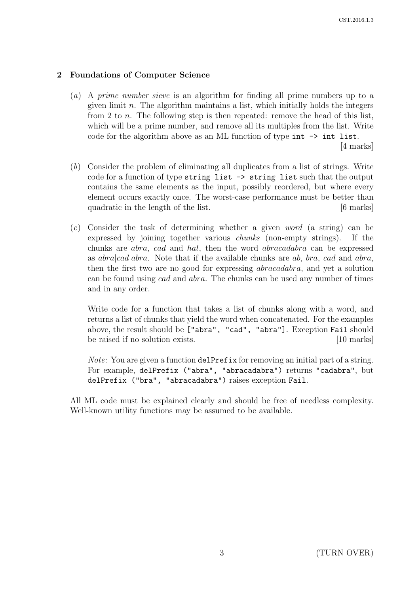# 2 Foundations of Computer Science

- (a) A prime number sieve is an algorithm for finding all prime numbers up to a given limit  $n$ . The algorithm maintains a list, which initially holds the integers from 2 to n. The following step is then repeated: remove the head of this list, which will be a prime number, and remove all its multiples from the list. Write code for the algorithm above as an ML function of type int -> int list. [4 marks]
- (b) Consider the problem of eliminating all duplicates from a list of strings. Write code for a function of type string list -> string list such that the output contains the same elements as the input, possibly reordered, but where every element occurs exactly once. The worst-case performance must be better than quadratic in the length of the list. [6 marks]
- (c) Consider the task of determining whether a given word (a string) can be expressed by joining together various chunks (non-empty strings). If the chunks are abra, cad and hal, then the word abracadabra can be expressed as  $abra|cad|abra$ . Note that if the available chunks are ab, bra, cad and abra, then the first two are no good for expressing abracadabra, and yet a solution can be found using cad and abra. The chunks can be used any number of times and in any order.

Write code for a function that takes a list of chunks along with a word, and returns a list of chunks that yield the word when concatenated. For the examples above, the result should be ["abra", "cad", "abra"]. Exception Fail should be raised if no solution exists. [10 marks]

Note: You are given a function delPrefix for removing an initial part of a string. For example, delPrefix ("abra", "abracadabra") returns "cadabra", but delPrefix ("bra", "abracadabra") raises exception Fail.

All ML code must be explained clearly and should be free of needless complexity. Well-known utility functions may be assumed to be available.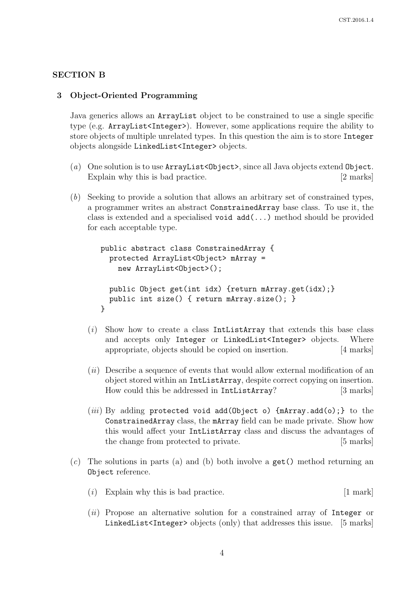#### SECTION B

#### 3 Object-Oriented Programming

Java generics allows an ArrayList object to be constrained to use a single specific type (e.g. ArrayList<Integer>). However, some applications require the ability to store objects of multiple unrelated types. In this question the aim is to store Integer objects alongside LinkedList<Integer> objects.

- (a) One solution is to use  $ArrayList  $Object$ , since all Java objects extend Object.$ Explain why this is bad practice. [2 marks]
- (b) Seeking to provide a solution that allows an arbitrary set of constrained types, a programmer writes an abstract ConstrainedArray base class. To use it, the class is extended and a specialised void add(...) method should be provided for each acceptable type.

```
public abstract class ConstrainedArray {
 protected ArrayList<Object> mArray =
   new ArrayList<Object>();
 public Object get(int idx) {return mArray.get(idx);}
 public int size() { return mArray.size(); }
}
```
- $(i)$  Show how to create a class IntListArray that extends this base class and accepts only Integer or LinkedList<Integer> objects. Where appropriate, objects should be copied on insertion. [4 marks]
- (ii) Describe a sequence of events that would allow external modification of an object stored within an IntListArray, despite correct copying on insertion. How could this be addressed in IntListArray? [3 marks]
- (*iii*) By adding protected void add(Object o)  $\{$ mArray.add(o);  $\}$  to the ConstrainedArray class, the mArray field can be made private. Show how this would affect your IntListArray class and discuss the advantages of the change from protected to private. [5 marks]
- $(c)$  The solutions in parts (a) and (b) both involve a get() method returning an Object reference.
	- $(i)$  Explain why this is bad practice.  $[1 \text{ mark}]$
	- $(ii)$  Propose an alternative solution for a constrained array of Integer or LinkedList<Integer> objects (only) that addresses this issue. [5 marks]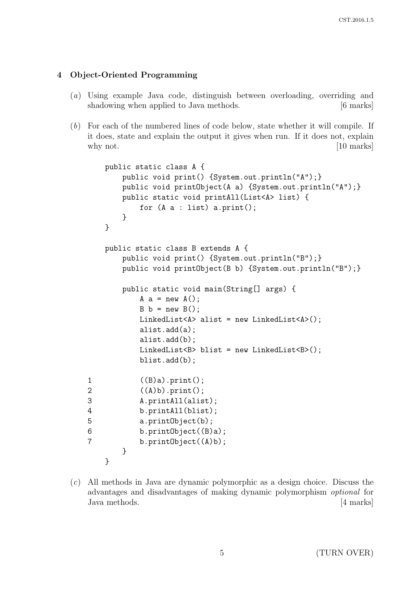# 4 Object-Oriented Programming

- (a) Using example Java code, distinguish between overloading, overriding and shadowing when applied to Java methods. [6 marks]
- (b) For each of the numbered lines of code below, state whether it will compile. If it does, state and explain the output it gives when run. If it does not, explain why not. [10 marks]

```
public static class A {
       public void print() {System.out.println("A");}
       public void printObject(A a) {System.out.println("A");}
       public static void printAll(List<A> list) {
           for (A a : list) a.print();
       }
   }
   public static class B extends A {
       public void print() {System.out.println("B");}
       public void printObject(B b) {System.out.println("B");}
       public static void main(String[] args) {
           A a = new A();
           B b = new B();
           LinkedList<A> alist = new LinkedList<A>();
           alist.add(a);
           alist.add(b);
           LinkedList<B> blist = new LinkedList<B>();
           blist.add(b);
1 ((B)a).print();
2 ((A)b).print();
3 A.printAll(alist);
4 b.printAll(blist);
5 a.printObject(b);
6 b.printObject((B)a);
7 b.printObject((A)b);
       }
   }
```
(c) All methods in Java are dynamic polymorphic as a design choice. Discuss the advantages and disadvantages of making dynamic polymorphism optional for Java methods. [4 marks]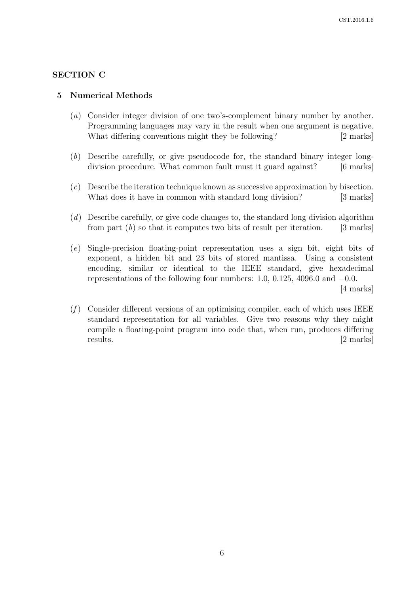# SECTION C

#### 5 Numerical Methods

- (a) Consider integer division of one two's-complement binary number by another. Programming languages may vary in the result when one argument is negative. What differing conventions might they be following? [2 marks]
- (b) Describe carefully, or give pseudocode for, the standard binary integer longdivision procedure. What common fault must it guard against? [6 marks]
- (c) Describe the iteration technique known as successive approximation by bisection. What does it have in common with standard long division? [3 marks]
- (d) Describe carefully, or give code changes to, the standard long division algorithm from part  $(b)$  so that it computes two bits of result per iteration. [3 marks]
- (e) Single-precision floating-point representation uses a sign bit, eight bits of exponent, a hidden bit and 23 bits of stored mantissa. Using a consistent encoding, similar or identical to the IEEE standard, give hexadecimal representations of the following four numbers: 1.0, 0.125, 4096.0 and  $-0.0$ . [4 marks]
- $(f)$  Consider different versions of an optimising compiler, each of which uses IEEE standard representation for all variables. Give two reasons why they might compile a floating-point program into code that, when run, produces differing results.  $[2 \text{ marks}]$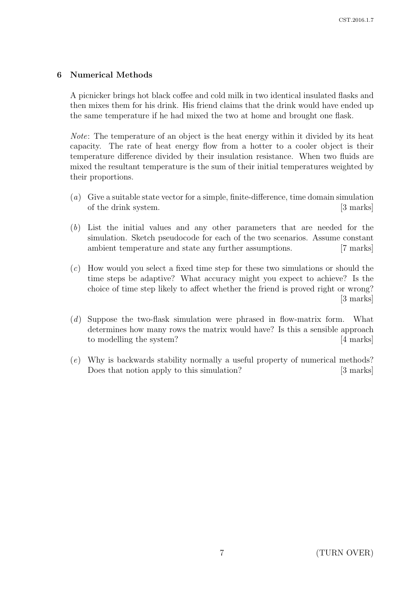# 6 Numerical Methods

A picnicker brings hot black coffee and cold milk in two identical insulated flasks and then mixes them for his drink. His friend claims that the drink would have ended up the same temperature if he had mixed the two at home and brought one flask.

Note: The temperature of an object is the heat energy within it divided by its heat capacity. The rate of heat energy flow from a hotter to a cooler object is their temperature difference divided by their insulation resistance. When two fluids are mixed the resultant temperature is the sum of their initial temperatures weighted by their proportions.

- (a) Give a suitable state vector for a simple, finite-difference, time domain simulation of the drink system. [3 marks]
- (b) List the initial values and any other parameters that are needed for the simulation. Sketch pseudocode for each of the two scenarios. Assume constant ambient temperature and state any further assumptions. [7 marks]
- (c) How would you select a fixed time step for these two simulations or should the time steps be adaptive? What accuracy might you expect to achieve? Is the choice of time step likely to affect whether the friend is proved right or wrong? [3 marks]
- (d) Suppose the two-flask simulation were phrased in flow-matrix form. What determines how many rows the matrix would have? Is this a sensible approach to modelling the system? [4 marks]
- (e) Why is backwards stability normally a useful property of numerical methods? Does that notion apply to this simulation? [3 marks]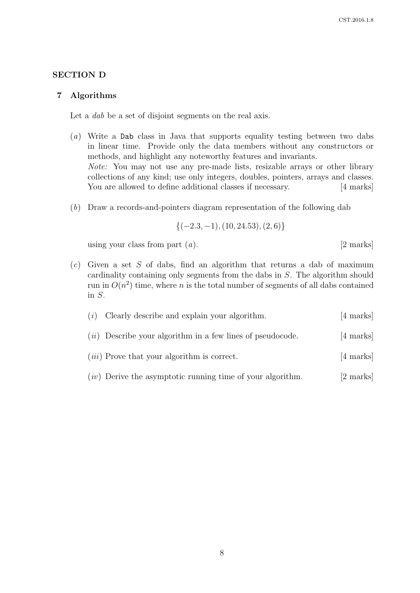## SECTION D

#### 7 Algorithms

Let a *dab* be a set of disjoint segments on the real axis.

- (a) Write a Dab class in Java that supports equality testing between two dabs in linear time. Provide only the data members without any constructors or methods, and highlight any noteworthy features and invariants. Note: You may not use any pre-made lists, resizable arrays or other library collections of any kind; use only integers, doubles, pointers, arrays and classes. You are allowed to define additional classes if necessary. [4 marks]
- (b) Draw a records-and-pointers diagram representation of the following dab

$$
\{(-2.3,-1),(10,24.53),(2,6)\}
$$

using your class from part  $(a)$ . [2 marks]

 $(c)$  Given a set S of dabs, find an algorithm that returns a dab of maximum cardinality containing only segments from the dabs in S. The algorithm should run in  $O(n^2)$  time, where n is the total number of segments of all dabs contained in S.

| (i) | Clearly describe and explain your algorithm.                 | $[4 \text{ marks}]$ |
|-----|--------------------------------------------------------------|---------------------|
|     | $(ii)$ Describe your algorithm in a few lines of pseudocode. | [4 marks]           |
|     | $(iii)$ Prove that your algorithm is correct.                | [4 marks]           |
|     | $(iv)$ Derive the asymptotic running time of your algorithm. | [2 marks]           |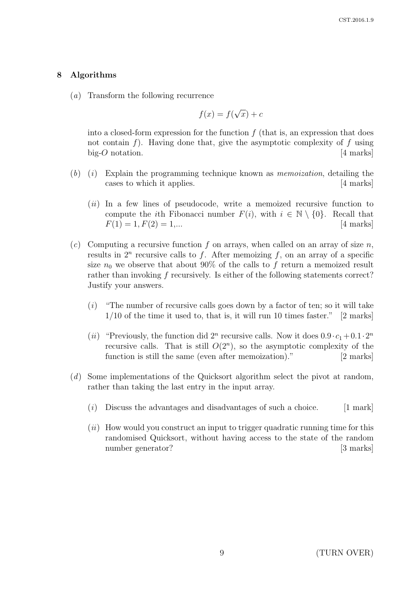## 8 Algorithms

(a) Transform the following recurrence

$$
f(x) = f(\sqrt{x}) + c
$$

into a closed-form expression for the function  $f$  (that is, an expression that does not contain f). Having done that, give the asymptotic complexity of f using big-O notation. [4 marks]

- $(b)$  (i) Explain the programming technique known as *memoization*, detailing the cases to which it applies. [4 marks]
	- $(ii)$  In a few lines of pseudocode, write a memoized recursive function to compute the *i*th Fibonacci number  $F(i)$ , with  $i \in \mathbb{N} \setminus \{0\}$ . Recall that  $F(1) = 1, F(2) = 1,...$  [4 marks]
- (c) Computing a recursive function f on arrays, when called on an array of size n, results in  $2^n$  recursive calls to f. After memoizing f, on an array of a specific size  $n_0$  we observe that about 90% of the calls to f return a memoized result rather than invoking f recursively. Is either of the following statements correct? Justify your answers.
	- $(i)$  "The number of recursive calls goes down by a factor of ten; so it will take  $1/10$  of the time it used to, that is, it will run 10 times faster." [2 marks]
	- (*ii*) "Previously, the function did  $2^n$  recursive calls. Now it does  $0.9 \cdot c_1 + 0.1 \cdot 2^n$ recursive calls. That is still  $O(2^n)$ , so the asymptotic complexity of the function is still the same (even after memoization)." [2 marks]
- (d) Some implementations of the Quicksort algorithm select the pivot at random, rather than taking the last entry in the input array.
	- $(i)$  Discuss the advantages and disadvantages of such a choice. [1 mark]
	- $(ii)$  How would you construct an input to trigger quadratic running time for this randomised Quicksort, without having access to the state of the random number generator? [3 marks]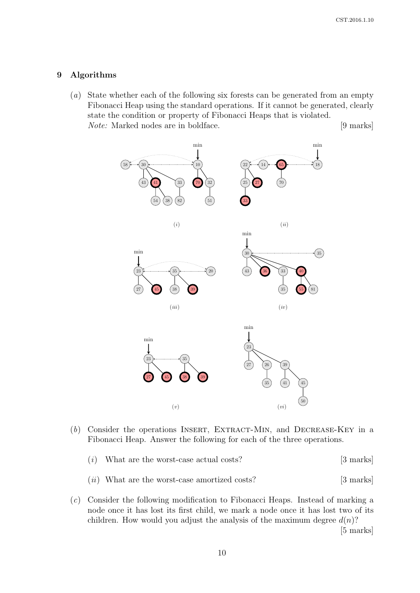#### 9 Algorithms

(a) State whether each of the following six forests can be generated from an empty Fibonacci Heap using the standard operations. If it cannot be generated, clearly state the condition or property of Fibonacci Heaps that is violated. Note: Marked nodes are in boldface. [9 marks]



- (b) Consider the operations INSERT, EXTRACT-MIN, and DECREASE-KEY in a Fibonacci Heap. Answer the following for each of the three operations.
	- $(i)$  What are the worst-case actual costs? [3 marks]
	- (*ii*) What are the worst-case amortized costs? [3 marks]
- (c) Consider the following modification to Fibonacci Heaps. Instead of marking a node once it has lost its first child, we mark a node once it has lost two of its children. How would you adjust the analysis of the maximum degree  $d(n)$ ?

[5 marks]